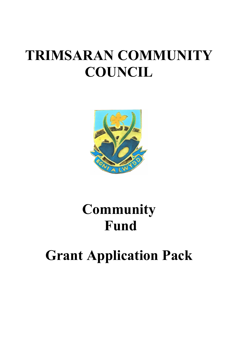# TRIMSARAN COMMUNITY **COUNCIL**



# **Community** Fund

# Grant Application Pack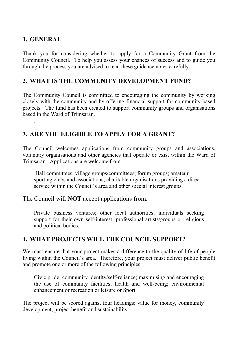#### 1. GENERAL

.

Thank you for considering whether to apply for a Community Grant from the Community Council. To help you assess your chances of success and to guide you through the process you are advised to read these guidance notes carefully.

#### 2. WHAT IS THE COMMUNITY DEVELOPMENT FUND?

The Community Council is committed to encouraging the community by working closely with the community and by offering financial support for community based projects. The fund has been created to support community groups and organisations based in the Ward of Trimsaran.

### 3. ARE YOU ELIGIBLE TO APPLY FOR A GRANT?

The Council welcomes applications from community groups and associations, voluntary organisations and other agencies that operate or exist within the Ward of Trimsaran. Applications are welcome from:

 Hall committees; village groups/committees; forum groups; amateur sporting clubs and associations; charitable organisations providing a direct service within the Council's area and other special interest groups.

The Council will NOT accept applications from:

Private business ventures; other local authorities; individuals seeking support for their own self-interest; professional artists/groups or religious and political bodies.

#### 4. WHAT PROJECTS WILL THE COUNCIL SUPPORT?

We must ensure that your project makes a difference to the quality of life of people living within the Council's area. Therefore, your project must deliver public benefit and promote one or more of the following principles:

Civic pride; community identity/self-reliance; maximising and encouraging the use of community facilities; health and well-being; environmental enhancement or recreation or leisure or Sport.

The project will be scored against four headings: value for money, community development, project benefit and sustainability.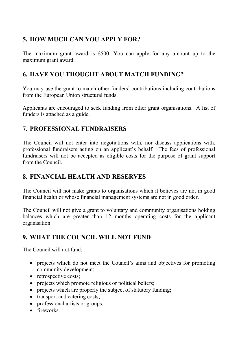# 5. HOW MUCH CAN YOU APPLY FOR?

The maximum grant award is £500. You can apply for any amount up to the maximum grant award.

### 6. HAVE YOU THOUGHT ABOUT MATCH FUNDING?

You may use the grant to match other funders' contributions including contributions from the European Union structural funds.

Applicants are encouraged to seek funding from other grant organisations. A list of funders is attached as a guide.

### 7. PROFESSIONAL FUNDRAISERS

The Council will not enter into negotiations with, nor discuss applications with, professional fundraisers acting on an applicant's behalf. The fees of professional fundraisers will not be accepted as eligible costs for the purpose of grant support from the Council.

# 8. FINANCIAL HEALTH AND RESERVES

The Council will not make grants to organisations which it believes are not in good financial health or whose financial management systems are not in good order.

The Council will not give a grant to voluntary and community organisations holding balances which are greater than 12 months operating costs for the applicant organisation.

# 9. WHAT THE COUNCIL WILL NOT FUND

The Council will not fund:

- projects which do not meet the Council's aims and objectives for promoting community development;
- retrospective costs;
- projects which promote religious or political beliefs;
- projects which are properly the subject of statutory funding;
- transport and catering costs;
- professional artists or groups;
- fireworks.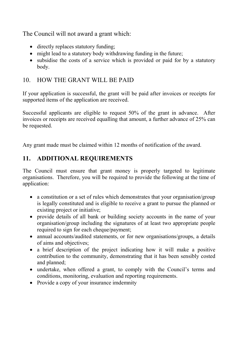The Council will not award a grant which:

- directly replaces statutory funding;
- might lead to a statutory body withdrawing funding in the future;
- subsidise the costs of a service which is provided or paid for by a statutory body.

# 10. HOW THE GRANT WILL BE PAID

If your application is successful, the grant will be paid after invoices or receipts for supported items of the application are received.

Successful applicants are eligible to request 50% of the grant in advance. After invoices or receipts are received equalling that amount, a further advance of 25% can be requested.

Any grant made must be claimed within 12 months of notification of the award.

# 11. ADDITIONAL REQUIREMENTS

The Council must ensure that grant money is properly targeted to legitimate organisations. Therefore, you will be required to provide the following at the time of application:

- a constitution or a set of rules which demonstrates that your organisation/group is legally constituted and is eligible to receive a grant to pursue the planned or existing project or initiative;
- provide details of all bank or building society accounts in the name of your organisation/group including the signatures of at least two appropriate people required to sign for each cheque/payment;
- annual accounts/audited statements, or for new organisations/groups, a details of aims and objectives;
- a brief description of the project indicating how it will make a positive contribution to the community, demonstrating that it has been sensibly costed and planned;
- undertake, when offered a grant, to comply with the Council's terms and conditions, monitoring, evaluation and reporting requirements.
- Provide a copy of your insurance imdemnity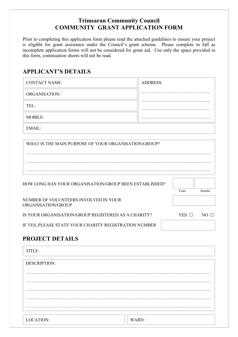#### Trimsaran Community Council COMMUNITY GRANT APPLICATION FORM

Prior to completing this application form please read the attached guidelines to ensure your project is eligible for grant assistance under the Council's grant scheme. Please complete in full as incomplete application forms will not be considered for grant aid. Use only the space provided in this form, continuation sheets will not be read.

#### APPLICANT'S DETAILS

| <b>CONTACT NAME:</b>                                        | <b>ADDRESS:</b> |                |
|-------------------------------------------------------------|-----------------|----------------|
| <b>ORGANISATION:</b>                                        |                 |                |
| TEL:                                                        |                 |                |
| <b>MOBILE:</b>                                              |                 |                |
| EMAIL:                                                      |                 |                |
| WHAT IS THE MAIN PURPOSE OF YOUR ORGANISATION/GROUP?        |                 |                |
| HOW LONG HAS YOUR ORGANISATION/GROUP BEEN ESTABLISHED?      | Years           | Months         |
| NUMBER OF VOLUNTEERS INVOLVED IN YOUR<br>ORGANISATION/GROUP |                 |                |
| IS YOUR ORGANISATION/GROUP REGISTERED AS A CHARITY?         | YES $\Box$      | $NO$ $\square$ |
| IF YES, PLEASE STATE YOUR CHARITY REGISTRATION NUMBER       |                 |                |

#### PROJECT DETAILS

| TITLE:              |       |  |
|---------------------|-------|--|
| <b>DESCRIPTION:</b> |       |  |
|                     |       |  |
| .                   |       |  |
| .<br>.              |       |  |
|                     |       |  |
| LOCATION:           | WARD: |  |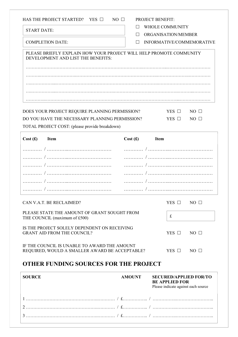|                    | <b>OTHER FUNDING SOURCES FOR THE PROJECT</b>                                                              |              |                           |                |
|--------------------|-----------------------------------------------------------------------------------------------------------|--------------|---------------------------|----------------|
|                    | IF THE COUNCIL IS UNABLE TO AWARD THE AMOUNT<br>REQUIRED, WOULD A SMALLER AWARD BE ACCEPTABLE?            |              | YES $\Box$                | $NO \Box$      |
|                    | IS THE PROJECT SOLELY DEPENDENT ON RECEIVING<br><b>GRANT AID FROM THE COUNCIL?</b>                        |              | YES $\Box$                | $NO \Box$      |
|                    | PLEASE STATE THE AMOUNT OF GRANT SOUGHT FROM<br>THE COUNCIL (maximum of £500)                             |              | $\mathbf f$               |                |
|                    | CAN V.A.T. BE RECLAIMED?                                                                                  |              | YES $\Box$                | $NO \Box$      |
|                    | /                                                                                                         | $\sqrt{ }$ . |                           |                |
|                    |                                                                                                           |              |                           |                |
|                    |                                                                                                           |              |                           |                |
|                    |                                                                                                           |              |                           |                |
|                    |                                                                                                           |              |                           |                |
| Cost(f)            | <b>Item</b>                                                                                               | Cost(f)      | <b>Item</b>               |                |
|                    | TOTAL PROJECT COST: (please provide breakdown)                                                            |              |                           |                |
|                    | DO YOU HAVE THE NECESSARY PLANNING PERMISSION?                                                            |              | $YES$ $\square$           | $NO \Box$      |
|                    | DOES YOUR PROJECT REQUIRE PLANNING PERMISSION?                                                            |              | $YES$ $\square$           | $NO$ $\square$ |
|                    |                                                                                                           |              |                           |                |
|                    |                                                                                                           |              |                           |                |
|                    |                                                                                                           |              |                           |                |
|                    |                                                                                                           |              |                           |                |
|                    | PLEASE BRIEFLY EXPLAIN HOW YOUR PROJECT WILL HELP PROMOTE COMMUNITY<br>DEVELOPMENT AND LIST THE BENEFITS: |              |                           |                |
|                    | <b>COMPLETION DATE:</b>                                                                                   | $\perp$      | INFORMATIVE/COMMEMORATIVE |                |
|                    |                                                                                                           | $\perp$      | ORGANISATION/MEMBER       |                |
| <b>START DATE:</b> |                                                                                                           |              |                           |                |

| Please indicate against each source |
|-------------------------------------|
|                                     |
|                                     |
|                                     |
|                                     |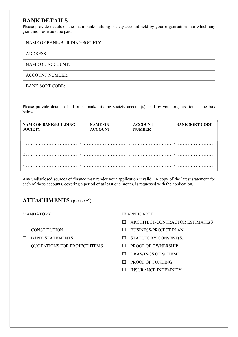#### BANK DETAILS

Please provide details of the main bank/building society account held by your organisation into which any grant monies would be paid:

| NAME OF BANK/BUILDING SOCIETY: |
|--------------------------------|
| <b>ADDRESS:</b>                |
| NAME ON ACCOUNT:               |
| <b>ACCOUNT NUMBER:</b>         |
| <b>BANK SORT CODE:</b>         |

Please provide details of all other bank/building society account(s) held by your organisation in the box below:

| <b>NAME OF BANK/BUILDING</b><br><b>SOCIETY</b> |  | BANK SORT CODE |
|------------------------------------------------|--|----------------|
|                                                |  |                |
|                                                |  |                |
|                                                |  |                |

Any undisclosed sources of finance may render your application invalid. A copy of the latest statement for each of these accounts, covering a period of at least one month, is requested with the application.

#### ATTACHMENTS (please  $\checkmark$ )

#### MANDATORY

- $\square$  CONSTITUTION
- BANK STATEMENTS
- $\Box$  QUOTATIONS FOR PROJECT ITEMS

#### IF APPLICABLE

- $\Box$  ARCHITECT/CONTRACTOR ESTIMATE(S)
- D BUSINESS/PROJECT PLAN
- $\Box$  STATUTORY CONSENT(S)
- **PROOF OF OWNERSHIP**
- $\Box$  DRAWINGS OF SCHEME
- $\Box$  PROOF OF FUNDING
- INSURANCE INDEMNITY